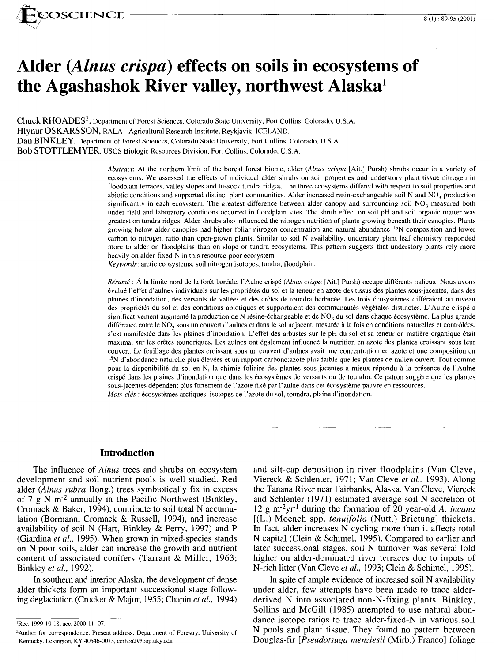

# **Alder** *(Alnus crispa)* **effects on soils in ecosystems of the Agashashok River valley, northwest Alaska<sup>1</sup>**

Chuck RHOADES2, Department of Forest Sciences, Colorado State University, Fort Collins, Colorado, U.S.A. Hlynur OSKARSSON, RALA - Agricultural Research Institute, Reykjavik, ICELAND. Dan BINKLEY, Department of Forest Sciences, Colorado State University, Fort Collins, Colorado, U.S.A. Bob STOTTLEMYER, USGS Biologic Resources Division, Fort Collins, Colorado, U.S.A.

> *Abstract:* At the northern limit of the boreal forest biome, alder *(A/nus crispa* [Ait.] Pursh) shrubs occur in a variety of ecosystems. We assessed the effects of individual alder shrubs on soil properties and understory plant tissue nitrogen in floodplain terraces, valley slopes and tussock tundra ridges. The three ecosystems differed with respect to soil properties and abiotic conditions and supported distinct plant communities. Alder increased resin-exchangeable soil N and  $NO<sub>3</sub>$  production significantly in each ecosystem. The greatest difference between alder canopy and surrounding soil  $NO<sub>3</sub>$  measured both under field and laboratory conditions occurred in floodplain sites. The shrub effect on soil pH and soil organic matter was greatest on tundra ridges. Alder shrubs also influenced the nitrogen nutrition of plants growing beneath their canopies. Plants growing below alder canopies had higher foliar nitrogen concentration and natural abundance <sup>15</sup>N composition and lower carbon to nitrogen ratio than open-grown plants. Similar to soil N availability, understory plant leaf chemistry responded more to alder on floodplains than on slope or tundra ecosystems. This pattern suggests that understory plants rely more heavily on alder-fixed-N in this resource-poor ecosystem.

*Keywords:* arctic ecosystems, soil nitrogen isotopes, tundra, floodplain.

*Résumé* : À la limite nord de la forêt boréale, l'Aulne crispé *(Alnus crispa* [Ait.] Pursh) occupe différents milieux. Nous avons evalue l'effet d'aulnes individuels sur les proprietes du sol et la teneur en azote des tissus des plantes sous-jacentes, dans des plaines d' inondation, des versants de vallees et des cretes de toundra herbacee. Les trois ecosystemes differaient au niveau des propriétés du sol et des conditions abiotiques et supportaient des communautés végétales distinctes. L'Aulne crispé a significativement augmenté la production de N résine-échangeable et de  $NO<sub>3</sub>$  du sol dans chaque écosystème. La plus grande différence entre le NO<sub>3</sub> sous un couvert d'aulnes et dans le sol adjacent, mesurée à la fois en conditions naturelles et contrôlées, s'est manifestée dans les plaines d'inondation. L'effet des arbustes sur le pH du sol et sa teneur en matière organique était maximal sur les cretes toundriques. Les aulnes ont egalement influence la nutrition en azote des plantes croissant sous leur couvert. Le feuillage des plantes croissant sous un couvert d'aulnes avail une concentration en azote et une composition en <sup>15</sup>N d'abondance naturelle plus élevées et un rapport carbone: azote plus faible que les plantes de milieu ouvert. Tout comme pour la disponibilite du sol en N, la chimie foliaire des plantes sous-jacentes a mieux repondu a la presence de l' Aulne crispé dans les plaines d'inondation que dans les écosystèmes de versants ou de toundra. Ce patron suggère que les plantes sous-jacentes dependent plus fortement de l'azote fixe par l'aulne dans cet ecosysteme pauvre en ressources. *Mots-clés*: écosystèmes arctiques, isotopes de l'azote du sol, toundra, plaine d'inondation.

# **Introduction**

The influence of *Alnus* trees and shrubs on ecosystem development and soil nutrient pools is well studied. Red alder *(Alnus rubra* Bong.) trees symbiotically fix in excess of 7 g N m-2 annually in the Pacific Northwest (Binkley, Cromack & Baker, 1994), contribute to soil total N accumulation (Bormann, Cromack & Russell, 1994), and increase availability of soil N (Hart, Binkley & Perry, 1997) and P (Giardina *et al.,* 1995). When grown in mixed-species stands on N-poor soils, alder can increase the growth and nutrient content of associated conifers (Tarrant & Miller, 1963; Binkley *et al.,* 1992).

In southern and interior Alaska, the development of dense alder thickets form an important successional stage following deglaciation (Crocker & Major, 1955; Chapin *et al.,* 1994)

1Rec. 1999-10-18; acc. 2000-11- 07.

and silt-cap deposition in river floodplains (Van Cleve, Viereck & Schlenter, 1971; Van Cleve *et al.,* 1993). Along the Tanana River near Fairbanks, Alaska, Van Cleve, Viereck and Schlenter ( 1971) estimated average soil N accretion of 12 g m-2yr- <sup>1</sup>during the formation of 20 year-old *A. incana*  [(L.) Moench spp. *tenuifolia* (Nutt.) Brietung] thickets. In fact, alder increases N cycling more than it affects total N capital (Clein & Schimel, 1995). Compared to earlier and later successional stages, soil N turnover was several-fold higher on alder-dominated river terraces due to inputs of N-rich litter (Van Cleve *et al.,* 1993; Clein & Schimel, 1995).

In spite of ample evidence of increased soil N availability under alder, few attempts have been made to trace alderderived N into associated non-N-fixing plants. Binkley, Sollins and McGill (1985) attempted to use natural abundance isotope ratios to trace alder-fixed-N in various soil N pools and plant tissue. They found no pattern between Douglas-fir *[Pseudotsuga menziesii* (Mirb.) Franco] foliage

<sup>2</sup>Author for correspondence. Present address: Department of Forestry, University of Kentucky, Lexington, KY 40546-0073, ccrhoa2@pop.uky.edu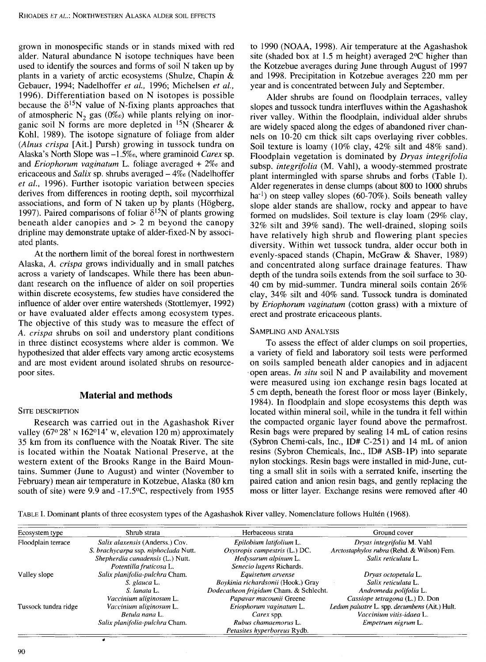grown in monospecific stands or in stands mixed with red alder. Natural abundance N isotope techniques have been used to identify the sources and forms of soil N taken up by plants in a variety of arctic ecosystems (Shulze, Chapin & Gebauer, 1994; Nadelhoffer *et al.,* 1996; Michelsen *et al.,*  1996). Differentiation based on N isotopes is possible because the  $\delta^{15}N$  value of N-fixing plants approaches that of atmospheric  $N_2$  gas  $(0\%)$  while plants relying on inorganic soil N forms are more depleted in  $15N$  (Shearer & Kohl, 1989). The isotope signature of foliage from alder *(Alnus crispa* [Ait.] Pursh) growing in tussock tundra on Alaska's North Slope was *-I.5%o,* where graminoid *Carex* sp. and *Eriophorum vaginatum* L. foliage averaged + *2%o* and ericaceous and *Salix* sp. shrubs averaged - *4%o* (Nadelhoffer *et al.,* 1996). Further isotopic variation between species derives from differences in rooting depth, soil mycorrhizal associations, and form of N taken up by plants (Högberg, 1997). Paired comparisons of foliar  $\delta^{15}$ N of plants growing beneath alder canopies and  $> 2$  m beyond the canopy dripline may demonstrate uptake of alder-fixed-N by associated plants.

At the northern limit of the boreal forest in northwestern Alaska, *A. crispa* grows individually and in small patches across a variety of landscapes. While there has been abundant research on the influence of alder on soil properties within discrete ecosystems, few studies have considered the influence of alder over entire watersheds (Stottlemyer, 1992) or have evaluated alder effects among ecosystem types. The objective of this study was to measure the effect of *A. crispa* shrubs on soil and understory plant conditions in three distinct ecosystems where alder is common. We hypothesized that alder effects vary among arctic ecosystems and are most evident around isolated shrubs on resourcepoor sites.

### **Material and methods**

#### SITE DESCRIPTION

Research was carried out in the Agashashok River valley (67° 28' N 162°14' w, elevation 120 m) approximately 35 km from its confluence with the Noatak River. The site is located within the Noatak National Preserve, at the western extent of the Brooks Range in the Baird Mountains. Summer (June to August) and winter (November to February) mean air temperature in Kotzebue, Alaska (80 km south of site) were 9.9 and -17.5°C, respectively from 1955

to 1990 (NOAA, 1998). Air temperature at the Agashashok site (shaded box at 1.5 m height) averaged 2°C higher than the Kotzebue averages during June through August of 1997 and 1998. Precipitation in Kotzebue averages 220 mm per year and is concentrated between July and September.

Alder shrubs are found on floodplain terraces, valley slopes and tussock tundra interfluves within the Agashashok river valley. Within the floodplain, individual alder shrubs are widely spaced along the edges of abandoned river channels on 10-20 cm thick silt caps overlaying river cobbles. Soil texture is loamy (10% clay, 42% silt and 48% sand). Floodplain vegetation is dominated by *Dryas integrifolia*  subsp. *integrifolia* (M. Yahl), a woody-stemmed prostrate plant intermingled with sparse shrubs and forbs (Table I). Alder regenerates in dense clumps (about 800 to 1000 shrubs ha<sup>-1</sup>) on steep valley slopes (60-70%). Soils beneath valley slope alder stands are shallow, rocky and appear to have formed on mudslides. Soil texture is clay loam (29% clay, 32% silt and 39% sand). The well-drained, sloping soils have relatively high shrub and flowering plant species diversity. Within wet tussock tundra, alder occur both in evenly-spaced stands (Chapin, McGraw & Shaver, 1989) and concentrated along surface drainage features. Thaw depth of the tundra soils extends from the soil surface to 30- 40 cm by mid-summer. Tundra mineral soils contain 26% clay, 34% silt and 40% sand. Tussock tundra is dominated by *Eriophorum vaginatum* (cotton grass) with a mixture of erect and prostrate ericaceous plants.

#### SAMPLING AND ANALYSIS

To assess the effect of alder clumps on soil properties, a variety of field and laboratory soil tests were performed on soils sampled beneath alder canopies and in adjacent open areas. *In situ* soil N and P availability and movement were measured using ion exchange resin bags located at 5 cm depth, beneath the forest floor or moss layer (Binkely, 1984). In floodplain and slope ecosystems this depth was located within mineral soil, while in the tundra it fell within the compacted organic layer found above the permafrost. Resin bags were prepared by sealing 14 mL of cation resins (Sybron Chemi-cals, Inc., ID# C-251) and 14 mL of anion resins (Sybron Chemicals, Inc., ID# ASB-lP) into separate nylon stockings. Resin bags were installed in mid-June, cutting a small slit in soils with a serrated knife, inserting the paired cation and anion resin bags, and gently replacing the moss or litter layer. Exchange resins were removed after 40

TABLE I. Dominant plants of three ecosystem types of the Agashashok River valley. Nomenclature follows Hulten (1968).

| Ecosystem type       | Shrub strata                         | Herbaceous strata                      | Ground cover                                  |
|----------------------|--------------------------------------|----------------------------------------|-----------------------------------------------|
| Floodplain terrace   | Salix alaxensis (Anderss.) Cov.      | Epilobium latifolium L.                | Dryas integrifolia M. Vahl                    |
|                      | S. brachycarpa ssp. niphoclada Nutt. | Oxytropis campestris (L.) DC.          | Arctostaphylos rubra (Rehd. & Wilson) Fem.    |
|                      | Shepherdia canadensis (L.) Nutt.     | Hedysarum alpinum L.                   | Salix reticulata L.                           |
|                      | Potentilla fruticosa L.              | Senecio lugens Richards.               |                                               |
| Valley slope         | Salix planifolia-pulchra Cham.       | Equisetum arvense                      | Dryas octopetala L.                           |
|                      | S. glauca L.                         | Boykinia richardsonii (Hook.) Gray     | Salix reticulata L.                           |
|                      | S. lanata L.                         | Dodecatheon frigidum Cham. & Schlecht. | Andromeda polifolia L.                        |
|                      | Vaccinium uliginosum L.              | Papavar macounii Greene                | Cassiope tetragona (L.) D. Don                |
| Tussock tundra ridge | Vaccinium uliginosum L.              | Eriophorum vaginatum L.                | Ledum palustre L. spp. decumbens (Ait.) Hult. |
|                      | Betula nana L.                       | Carex spp.                             | Vaccinium vitis-idaea L.                      |
|                      | Salix planifolia-pulchra Cham.       | Rubus chamaemorus L.                   | Empetrum nigrum L.                            |
|                      |                                      | Petasites hyperboreus Rydb.            |                                               |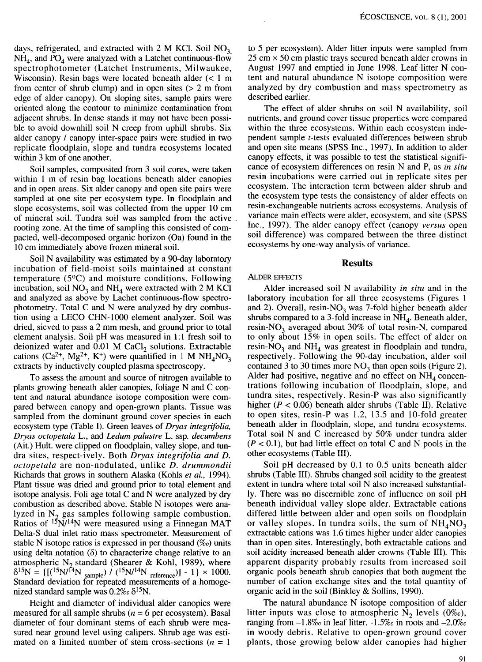days, refrigerated, and extracted with 2 M KCl. Soil  $NO<sub>3</sub>$  $NH<sub>4</sub>$ , and PO<sub>4</sub> were analyzed with a Latchet continuous-flow spectrophotometer (Latchet Instruments, Milwaukee, Wisconsin). Resin bags were located beneath alder  $(< 1$  m from center of shrub clump) and in open sites  $(2 \text{ m from})$ edge of alder canopy). On sloping sites, sample pairs were oriented along the contour to minimize contamination from adjacent shrubs. In dense stands it may not have been possible to avoid downhill soil N creep from uphill shrubs. Six alder canopy / canopy inter-space pairs were studied in two replicate floodplain, slope and tundra ecosystems located within 3 km of one another.

Soil samples, composited from 3 soil cores, were taken within 1 m of resin bag locations beneath alder canopies and in open areas. Six alder canopy and open site pairs were sampled at one site per ecosystem type. In floodplain and slope ecosystems, soil was collected from the upper 10 cm of mineral soil. Tundra soil was sampled from the active . rooting zone. At the time of sampling this consisted of compacted, well-decomposed organic horizon (Oa) found in the 10 cm immediately above frozen mineral soil.

Soil N availability was estimated by a 90-day laboratory incubation of field-moist soils maintained at constant temperature (5°C) and moisture conditions. Following incubation, soil  $NO<sub>3</sub>$  and  $NH<sub>4</sub>$  were extracted with 2 M KCl and analyzed as above by Lachet continuous-flow spectrophotometry. Total C and N were analyzed by dry combustion using a LECO CHN-1000 element analyzer. Soil was dried, sieved to pass a 2 mm mesh, and ground prior to total element analysis. Soil pH was measured in 1:1 fresh soil to deionized water and  $0.01$  M CaCl<sub>2</sub> solutions. Extractable cations (Ca<sup>2+</sup>, Mg<sup>2+</sup>, K<sup>+</sup>) were quantified in 1 M NH<sub>4</sub>NO<sub>3</sub> extracts by inductively coupled plasma spectroscopy.

To assess the amount and source of nitrogen available to plants growing beneath alder canopies, foliage N and C content and natural abundance isotope composition were compared between canopy and open-grown plants. Tissue was sampled from the dominant ground cover species in each ecosystem type (Table I). Green leaves of *Dryas integrifolia, Dryas octopetala* L., and *Ledum palustre* L. ssp. *decumbens*  (Ait.) Hult. were clipped on floodplain, valley slope, and tundra sites, respect-ively. Both *Dryas integrifolia and D. octopetala* are non-nodulated, unlike *D. drummondii*  Richards that grows in southern Alaska (Kohls *et al.,* 1994). Plant tissue was dried and ground prior to total element and isotope analysis. Foli-age total C and N were analyzed by dry combustion as described above. Stable N isotopes were analyzed in  $N<sub>2</sub>$  gas samples following sample combustion. Ratios of 15N/14N were measured using a Finnegan MAT Delta-S dual inlet ratio mass spectrometer. Measurement of stable N isotope ratios is expressed in per thousand *(%0)* units using delta notation  $(\delta)$  to characterize change relative to an atmospheric N<sub>2</sub> standard (Shearer & Kohl, 1989), where  $\delta^{15}N = \{[(^{15}N)^{14}N_{\text{sample}}]/((^{15}N)^{14}N_{\text{reference}})] - 1\} \times 1000.$ Standard deviation for repeated measurements of a homogenized standard sample was  $0.2\%$   $\delta^{15}$ N.

Height and diameter of individual alder canopies were measured for all sample shrubs ( $n = 6$  per ecosystem). Basal diameter of four dominant stems of each shrub were measured near ground level using calipers. Shrub age was estimated on a limited number of stem cross-sections ( $n = 1$ )

to 5 per ecosystem). Alder litter inputs were sampled from  $25 \text{ cm} \times 50 \text{ cm}$  plastic trays secured beneath alder crowns in August 1997 and emptied in June 1998. Leaf litter N content and natural abundance N isotope composition were analyzed by dry combustion and mass spectrometry as described earlier.

The effect of alder shrubs on soil N availability, soil nutrients, and ground cover tissue properties were compared within the three ecosystems. Within each ecosystem independent sample t-tests evaluated differences between shrub and open site means (SPSS Inc., 1997). In addition to alder canopy effects, it was possible to test the statistical significance of ecosystem differences on resin N and P, as *in situ*  resin incubations were carried out in replicate sites per ecosystem. The interaction term between alder shrub and the ecosystem type tests the consistency of alder effects on resin-exchangeable nutrients across ecosystems. Analysis of variance main effects were alder, ecosystem, and site (SPSS Inc., 1997). The alder canopy effect (canopy *versus* open soil difference) was compared between the three distinct ecosystems by one-way analysis of variance.

## **Results**

#### ALDER EFFECTS

Alder increased soil N availability *in situ* and in the laboratory incubation for all three ecosystems (Figures 1 and 2). Overall, resin-NO<sub>3</sub> was 7-fold higher beneath alder shrubs compared to a 3-fold increase in  $NH<sub>4</sub>$ . Beneath alder, resin-NO<sub>3</sub> averaged about 30% of total resin-N, compared to only about 15% in open soils. The effect of alder on resin-NO<sub>3</sub> and NH<sub>4</sub> was greatest in floodplain and tundra, respectively. Following the 90-day incubation, alder soil contained 3 to 30 times more  $NO<sub>3</sub>$  than open soils (Figure 2). Alder had positive, negative and no effect on  $NH<sub>4</sub>$  concentrations following incubation of floodplain, slope, and tundra sites, respectively. Resin-P was also significantly higher ( $P < 0.06$ ) beneath alder shrubs (Table II). Relative to open sites, resin-P was 1.2, 13.5 and 10-fold greater beneath alder in floodplain, slope, and tundra ecosystems. Total soil N and C increased by 50% under tundra alder  $(P < 0.1)$ , but had little effect on total C and N pools in the other ecosystems (Table III).

Soil pH decreased by 0.1 to 0.5 units beneath alder shrubs (Table III). Shrubs changed soil acidity to the greatest extent in tundra where total soil N also increased substantially. There was no discernible zone of influence on soil pH beneath individual valley slope alder. Extractable cations differed little between alder and open soils on floodplain or valley slopes. In tundra soils, the sum of  $NH<sub>4</sub>NO<sub>3</sub>$ extractable cations was 1.6 times higher under alder canopies than in open sites. Interestingly, both extractable cations and soil acidity increased beneath alder crowns (Table III). This apparent disparity probably results from increased soil organic pools beneath shrub canopies that both augment the number of cation exchange sites and the total quantity of organic acid in the soil (Binkley & Sollins, 1990).

The natural abundance N isotope composition of alder litter inputs was close to atmospheric  $N_2$  levels (0%o), ranging from -1.8%0 in leaf litter, *-1.5%0* in roots and *-2.0%0*  in woody debris. Relative to open-grown ground cover plants, those growing below alder canopies had higher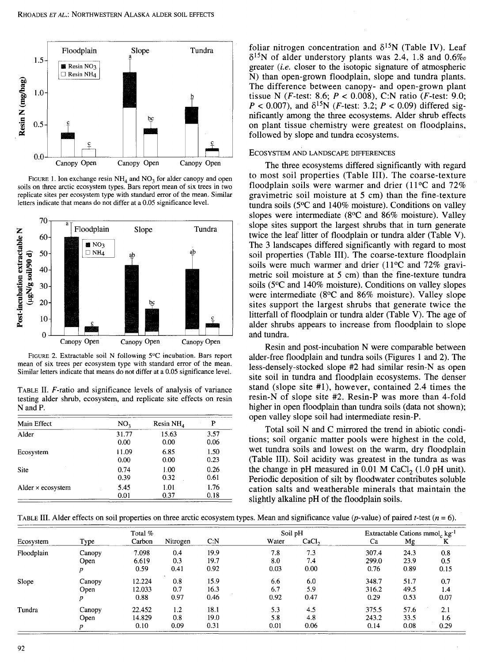

FIGURE 1. Ion exchange resin  $NH<sub>4</sub>$  and  $NO<sub>3</sub>$  for alder canopy and open soils on three arctic ecosystem types. Bars report mean of six trees in two replicate sites per ecosystem type with standard error of the mean. Similar letters indicate that means do not differ at a 0.05 significance level.



FIGURE 2. Extractable soil N following 5°C incubation. Bars report mean of six trees per ecosystem type with standard error of the mean. Similar letters indicate that means do not differ at a 0.05 significance level.

TABLE II. F-ratio and significance levels of analysis of variance testing alder shrub, ecosystem, and replicate site effects on resin N and P.

| Main Effect              | NO <sub>3</sub> | Resin $NH4$ | P    |
|--------------------------|-----------------|-------------|------|
| Alder                    | 31.77           | 15.63       | 3.57 |
|                          | 0.00            | 0.00        | 0.06 |
| Ecosystem                | 11.09           | 6.85        | 1.50 |
|                          | 0.00            | 0.00        | 0.23 |
| Site                     | 0.74            | 1.00        | 0.26 |
|                          | 0.39            | 0.32        | 0.61 |
| Alder $\times$ ecosystem | 5.45            | 1.01        | 1.76 |
|                          | 0.01            | 0.37        | 0.18 |

foliar nitrogen concentration and  $\delta^{15}N$  (Table IV). Leaf 815N of alder understory plants was 2.4, 1.8 and *0.6%0*  greater  $(i.e.$  closer to the isotopic signature of atmospheric N) than open-grown floodplain, slope and tundra plants. The difference between canopy- and open-grown plant tissue N (*F*-test: 8.6;  $P < 0.008$ ), C:N ratio (*F*-test: 9.0;  $P < 0.007$ ), and  $\delta^{15}N$  (*F*-test: 3.2;  $P < 0.09$ ) differed significantly among the three ecosystems. Alder shrub effects on plant tissue chemistry were greatest on floodplains, followed by slope and tundra ecosystems.

#### ECOSYSTEM AND LANDSCAPE DIFFERENCES

The three ecosystems differed significantly with regard to most soil properties (Table III). The coarse-texture floodplain soils were warmer and drier (11°C and 72% gravimetric soil moisture at 5 cm) than the fine-texture tundra soils (5°C and 140% moisture). Conditions on valley slopes were intermediate (8°C and 86% moisture). Valley slope sites support the largest shrubs that in tum generate twice the leaf litter of floodplain or tundra alder (Table V). The 3 landscapes differed significantly with regard to most soil properties (Table III). The coarse-texture floodplain soils were much warmer and drier (11°C and 72% gravimetric soil moisture at 5 cm) than the fine-texture tundra soils (5°C and 140% moisture). Conditions on valley slopes were intermediate (8°C and 86% moisture). Valley slope sites support the largest shrubs that generate twice the litterfall of floodplain or tundra alder (Table V). The age of alder shrubs appears to increase from floodplain to slope and tundra.

Resin and post-incubation N were comparable between alder-free floodplain and tundra soils (Figures 1 and 2). The less-densely-stocked slope #2 had similar resin-N as open site soil in tundra and floodplain ecosystems. The denser stand (slope site #1), however, contained 2.4 times the resin-N of slope site #2. Resin-P was more than 4-fold higher in open floodplain than tundra soils (data not shown); open valley slope soil had intermediate resin-P.

Total soil N and C mirrored the trend in abiotic conditions; soil organic matter pools were highest in the cold, wet tundra soils and lowest on the warm, dry floodplain (Table III). Soil acidity was greatest in the tundra as was the change in pH measured in  $0.01$  M CaCl<sub>2</sub> (1.0 pH unit). Periodic deposition of silt by floodwater contributes soluble cation salts and weatherable minerals that maintain the slightly alkaline pH of the floodplain soils.

TABLE III. Alder effects on soil properties on three arctic ecosystem types. Mean and significance value (p-value) of paired t-test ( $n = 6$ ).

| Total %    |        |        |          |      | Soil pH |                   | Extractable Cations mmol <sub>c</sub> $kg^{-1}$ |      |      |
|------------|--------|--------|----------|------|---------|-------------------|-------------------------------------------------|------|------|
| Ecosystem  | Type   | Carbon | Nitrogen | C: N | Water   | CaCl <sub>2</sub> | Ca                                              | Mg   | K    |
| Floodplain | Canopy | 7.098  | 0.4      | 19.9 | 7.8     | 7.3               | 307.4                                           | 24.3 | 0.8  |
|            | Open   | 6.619  | 0.3      | 19.7 | 8.0     | 7.4               | 299.0                                           | 23.9 | 0.5  |
|            |        | 0.59   | 0.41     | 0.92 | 0.03    | 0.00              | 0.76                                            | 0.89 | 0.15 |
| Slope      | Canopy | 12.224 | 0.8      | 15.9 | 6.6     | 6.0               | 348.7                                           | 51.7 | 0.7  |
|            | Open   | 12.033 | 0.7      | 16.3 | 6.7     | 5.9               | 316.2                                           | 49.5 | 1.4  |
|            | p      | 0.88   | 0.97     | 0.46 | 0.92    | 0.47              | 0.29                                            | 0.53 | 0.07 |
| Tundra     | Canopy | 22.452 | 1.2      | 18.1 | 5.3     | 4.5               | 375.5                                           | 57.6 | 2.1  |
|            | Open   | 14.829 | 0.8      | 19.0 | 5.8     | 4.8               | 243.2                                           | 33.5 | 1.6  |
|            |        | 0.10   | 0.09     | 0.31 | 0.01    | 0.06              | 0.14                                            | 0.08 | 0.29 |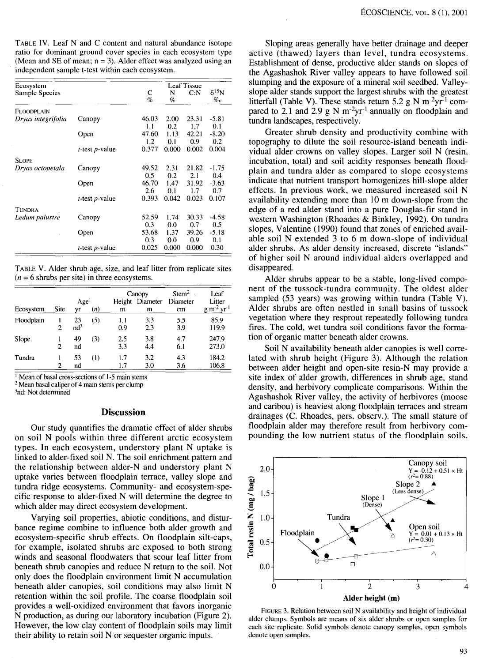TABLE IV. Leaf N and C content and natural abundance isotope ratio for dominant ground cover species in each ecosystem type (Mean and SE of mean;  $n = 3$ ). Alder effect was analyzed using an independent sample t-test within each ecosystem.

| Ecosystem          | <b>Leaf Tissue</b>        |       |       |       |                 |  |
|--------------------|---------------------------|-------|-------|-------|-----------------|--|
| Sample Species     |                           | С     | N     | C N   | $\delta^{15}$ N |  |
|                    |                           | $\%$  | %     |       | $\%$ o          |  |
| FLOODPLAIN         |                           |       |       |       |                 |  |
| Dryas integrifolia | Canopy                    | 46.03 | 2.00  | 23.31 | $-5.81$         |  |
|                    |                           | 1.1   | 0.2   | 1.7   | 0.1             |  |
|                    | Open                      | 47.60 | 1.13  | 42.21 | $-8.20$         |  |
|                    |                           | 1.2   | 0.1   | 0.9   | 0.2             |  |
|                    | $t$ -test $p$ -value      | 0.377 | 0.000 | 0.002 | 0.004           |  |
| <b>SLOPE</b>       |                           |       |       |       |                 |  |
| Dryas octopetala   | Canopy                    | 49.52 | 2.31  | 21.82 | -1.75           |  |
|                    |                           | 0.5   | 0.2   | 2.1   | 0.4             |  |
|                    | Open                      | 46.70 | 1.47  | 31.92 | $-3.63$         |  |
|                    |                           | 2.6   | 0.1   | 1.7   | 0.7             |  |
|                    | <i>t</i> -test $p$ -value | 0.393 | 0.042 | 0.023 | 0.107           |  |
| TUNDRA             |                           |       |       |       |                 |  |
| Ledum palustre     | Canopy                    | 52.59 | 1.74  | 30.33 | $-4.58$         |  |
|                    |                           | 0.3   | 0.0   | 0.7   | 0.5             |  |
|                    | Open                      | 53.68 | 1.37  | 39.26 | $-5.18$         |  |
|                    |                           | 0.3   | 0.0   | 0.9   | 0.1             |  |
|                    | <i>t</i> -test $p$ -value | 0.025 | 0.000 | 0.000 | 0.30            |  |

TABLE V. Alder shrub age, size, and leaf litter from replicate sites  $(n = 6$  shrubs per site) in three ecosystems.

|            |             |                        |     |             | Canopy        | Stem <sup>2</sup> | Leaf                   |  |
|------------|-------------|------------------------|-----|-------------|---------------|-------------------|------------------------|--|
| Ecosystem  | <b>Site</b> | Age <sup>1</sup><br>yr | (n) | Height<br>m | Diameter<br>m | Diameter<br>cm    | Litter<br>$g m^2 yr^1$ |  |
| Floodplain | 2           | 23<br>nd <sup>3</sup>  | (5) | 1.1<br>0.9  | 3.3<br>2.3    | 5.5<br>3.9        | 85.9<br>119.9          |  |
| Slope      | 2           | 49<br>nd               | (3) | 2.5<br>3.3  | 3.8<br>4.4    | 4.7<br>6.1        | 247.9<br>273.0         |  |
| Tundra     | 2           | 53<br>nd               | (1) | 1.7<br>1.7  | 3.2<br>3.0    | 4.3<br>3.6        | 184.2<br>106.8         |  |

<sup>1</sup> Mean of basal cross-sections of 1-5 main stems  $2$  Mean basal caliper of 4 main stems per clump  ${}^{3}$ nd: Not determined

# **Discussion**

Our study quantifies the dramatic effect of alder shrubs on soil N pools within three different arctic ecosystem types. In each ecosystem, understory plant N uptake is linked to alder-fixed soil N. The soil enrichment pattern and the relationship between alder-N and understory plant N uptake varies between floodplain terrace, valley slope and tundra ridge ecosystems. Community- and ecosystem-specific response to alder-fixed N will determine the degree to which alder may direct ecosystem development.

Varying soil properties, abiotic conditions, and disturbance regime combine to influence both alder growth and ecosystem-specific shrub effects. On floodplain silt-caps, for example, isolated shrubs are exposed to both strong winds and seasonal floodwaters that scour leaf litter from beneath shrub canopies and reduce N return to the soil. Not only does the floodplain environment limit N accumulation beneath alder canopies, soil conditions may also limit N retention within the soil profile. The coarse floodplain soil provides a well-oxidized environment that favors inorganic N production, as during our laboratory incubation (Figure 2). However, the low clay content of floodplain soils may limit their ability to retain soil N or sequester organic inputs.

Sloping areas generally have better drainage and deeper active (thawed) layers than level, tundra ecosystems. Establishment of dense, productive alder stands on slopes of the Agashashok River valley appears to have followed soil slumping and the exposure of a mineral soil seedbed. Valleyslope alder stands support the largest shrubs with the greatest litterfall (Table V). These stands return 5.2 g N m<sup>-2</sup>yr<sup>-1</sup> compared to 2.1 and 2.9 g N  $m^{-2}vr^{-1}$  annually on floodplain and tundra landscapes, respectively.

Greater shrub density and productivity combine with topography to dilute the soil resource-island beneath individual alder crowns on valley slopes. Larger soil N (resin, incubation, total) and soil acidity responses beneath floodplain and tundra alder as compared to slope ecosystems indicate that nutrient transport homogenizes hill-slope alder effects. In previous work, we measured increased soil N availability extending more than 10 m down-slope from the edge of a red alder stand into a pure Douglas-fir stand in western Washington (Rhoades & Binkley, 1992). On tundra slopes, Valentine (1990) found that zones of enriched available soil N extended 3 to 6 m down-slope of individual alder shrubs. As alder density increased, discrete "islands" of higher soil N around individual alders overlapped and disappeared.

Alder shrubs appear to be a stable, long-lived component of the tussock-tundra community. The oldest alder sampled (53 years) was growing within tundra (Table V). Alder shrubs are often nestled in small basins of tussock vegetation where they resprout repeatedly following tundra fires. The cold, wet tundra soil conditions favor the formation of organic matter beneath alder crowns.

Soil N availability beneath alder canopies is well correlated with shrub height (Figure 3). Although the relation between alder height and open-site resin-N may provide a site index of alder growth, differences in shrub age, stand density, and herbivory complicate comparisons. Within the Agashashok River valley, the activity of herbivores (moose and caribou) is heaviest along floodplain terraces and stream drainages (C. Rhoades, pers. observ.). The small stature of floodplain alder may therefore result from herbivory compounding the low nutrient status of the floodplain soils.



FIGURE 3. Relation between soil N availability and height of individual alder clumps. Symbols are means of six alder shrubs or open samples for each site replicate. Solid symbols denote canopy samples, open symbols denote open samples.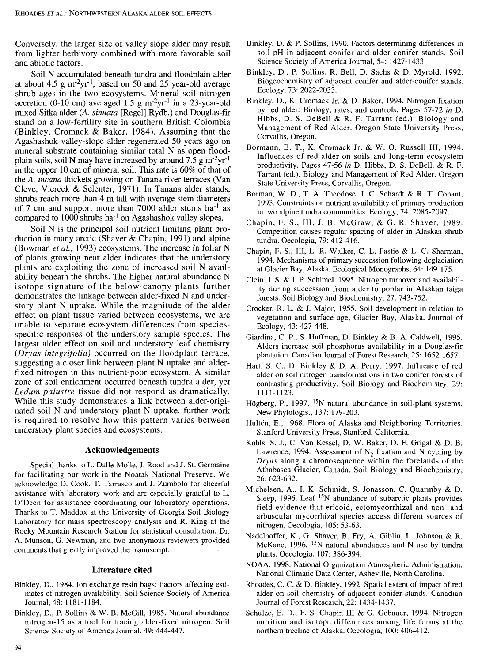Conversely, the larger size of valley slope alder may result from lighter herbivory combined with more favorable soil and abiotic factors.

Soil N accumulated beneath tundra and floodplain alder at about 4.5  $\rm g$  m<sup>-2</sup>yr<sup>-1</sup>, based on 50 and 25 year-old average shrub ages in the two ecosystems. Mineral soil nitrogen accretion (0-10 cm) averaged 1.5 g  $m^2yr^{-1}$  in a 23-year-old mixed Sitka alder *(A. sinuata* [Regel] Rydb.) and Douglas-fir stand on a low-fertility site in southern British Colombia (Binkley, Cromack & Baker, 1984). Assuming that the Agashashok valley-slope alder regenerated 50 years ago on mineral substrate containing similar total N as open floodplain soils, soil N may have increased by around 7.5 g  $m^2yr^{-1}$ in the upper 10 cm of mineral soil. This rate is 60% of that of the A. *incana* thickets growing on Tanana river terraces (Van Cleve, Viereck & Sclenter, 1971). In Tanana alder stands, shrubs reach more than 4 m tall with average stem diameters of 7 cm and support more than 7000 alder stems  $ha^{-1}$  as compared to  $1000$  shrubs ha<sup>-1</sup> on Agashashok valley slopes.

Soil N is the principal soil nutrient limiting plant production in many arctic (Shaver & Chapin, 1991) and alpine (Bowman *et al.,* 1993) ecosystems. The increase in foliar N of plants growing near alder indicates that the understory plants are exploiting the zone of increased soil N availability beneath the shrubs. The higher natural abundance N isotope signature of the below-canopy plants further demonstrates the linkage between alder-fixed N and understory plant N uptake. While the magnitude of the alder effect on plant tissue varied between ecosystems, we are unable to separate ecosystem differences from speciesspecific responses of the understory sample species. The largest alder effect on soil and understory leaf chemistry *(Dryas integrifolia)* occurred on the floodplain terrace, suggesting a closer link between plant N uptake and alderfixed-nitrogen in this nutrient-poor ecosystem. A similar zone of soil enrichment occurred beneath tundra alder, yet *Ledum palustre* tissue did not respond as dramatically. While this study demonstrates a link between alder-originated soil N and understory plant N uptake, further work is required to resolve how this pattern varies between understory plant species and ecosystems.

#### **Acknowledgements**

Special thanks to L. Daile-Molle, J. Rood and J. St. Germaine for facilitating our work in the Noatak National Preserve. We acknowledge D. Cook, T. Tarrasco and J. Zumbolo for cheerful assistance with laboratory work and are especially grateful to L. O'Deen for assistance coordinating our laboratory operations. Thanks to T. Maddox at the University of Georgia Soil Biology Laboratory for mass spectroscopy analysis and R. King at the Rocky Mountain Research Station for statistical consultation. Dr. A. Munson, G. Newman, and two anonymous reviewers provided comments that greatly improved the manuscript.

## **Literature cited**

- Binkley, D., 1984. Ion exchange resin bags: Factors affecting estimates of nitrogen availability. Soil Science Society of America Journal, 48: 1181-1184.
- Binkley, D., P. Sollins & W. B. McGill, 1985. Natural abundance nitrogen-15 as a tool for tracing alder-fixed nitrogen. Soil Science Society of America Journal, 49: 444-447.
- Binkley, D. & P. Sollins, 1990. Factors determining differences in soil pH in adjacent conifer and alder-conifer stands. Soil Science Society of America Journal, 54: 1427-1433.
- Binkley, D., P. Sollins, R. Bell, D. Sachs & D. Myrold, 1992. Biogeochemistry of adjacent conifer and alder-conifer stands. Ecology, 73: 2022-2033.
- Binkley, D., K. Cromack Jr. & D. Baker, 1994. Nitrogen fixation by red alder: Biology, rates, and controls. Pages 57-72 *in* D. Hibbs, D. S. DeBell & R. F. Tarrant (ed.). Biology and Management of Red Alder. Oregon State University Press, Corvallis, Oregon.
- Bormann, B. T., K. Cromack Jr. & W. 0. Russell III, 1994. Influences of red alder on soils and long-term ecosystem productivity. Pages 47-56 *in* D. Hibbs, D. S. DeBell, & R. F. Tarrant (ed.). Biology and Management of Red Alder. Oregon State University Press, Corvallis, Oregon.
- Borman, W. D., T. A. Theodose, J. C. Schardt & R. T. Conant, 1993. Constraints on nutrient availability of primary production in two alpine tundra communities. Ecology, 74: 2085-2097.
- Chapin, F. S., III, J. B. McGraw, & G. R. Shaver, 1989. Competition causes regular spacing of alder in Alaskan shrub tundra. Oecologia, 79: 412-416.
- Chapin, F. S., III, L. R. Walker, C. L. Fastie & L. C. Sharman, 1994. Mechanisms of primary succession following deglaciation at Glacier Bay, Alaska. Ecological Monographs, 64: 149-175.
- Clein, J. S. & J.P. Schimel, 1995. Nitrogen turnover and availability during succession from alder to poplar in Alaskan taiga forests. Soil Biology and Biochemistry, 27: 743-752.
- Crocker, R. L. & J. Major, 1955. Soil development in relation to vegetation and surface age, Glacier Bay, Alaska. Journal of Ecology, 43: 427-448.
- Giardina, C. P., S. Huffman, D. Binkley & B. A. Caldwell, 1995. Alders increase soil phosphorus availability in a Douglas-fir plantation. Canadian Journal of Forest Research, 25: 1652-1657.
- Hart, S. C., D. Binkley & D. A. Perry, 1997. Influence of red alder on soil nitrogen transformations in two conifer forests of contrasting productivity. Soil Biology and Biochemistry, 29: 1111-1123.
- Högberg, P., 1997. <sup>15</sup>N natural abundance in soil-plant systems. New Phytologist, 137: 179-203.
- Hultén, E., 1968. Flora of Alaska and Neighboring Territories. Stanford University Press, Stanford, California.
- Kohls, S. J., C. Van Kessel, D. W. Baker, D. F. Grigal & D. B. Lawrence, 1994. Assessment of  $N<sub>2</sub>$  fixation and N cycling by *Dryas* along a chronosequence within the forelands of the Athabasca Glacier, Canada. Soil Biology and Biochemistry, 26: 623-632.
- Michelsen, A., I. K. Schmidt, S. Jonasson, C. Quarmby & D. Sleep, 1996. Leaf  $15N$  abundance of subarctic plants provides field evidence that ericoid, ectomycorrhizal and non- and arbuscular mycorrhizal species access different sources of nitrogen. Oecologia, 105: 53-63.
- Nadelhoffer, K., G. Shaver, B. Fry, A. Giblin, L. Johnson & R. McKane, 1996.  $15N$  natural abundances and N use by tundra plants. Oecologia, 107: 386-394.
- NOAA, 1998. National Organization Atmospheric Administration, National Climatic Data Center, Asheville, North Carolina.
- Rhoades, C. C. & D. Binkley, 1992. Spatial extent of impact of red alder on soil chemistry of adjacent conifer stands. Canadian Journal of Forest Research, 22: 1434-1437.
- Schulze, E. D., F. S. Chapin III & G. Gebauer, 1994. Nitrogen nutrition and isotope differences among life forms at the northern treeline of Alaska. Oecologia, 100: 406-412.